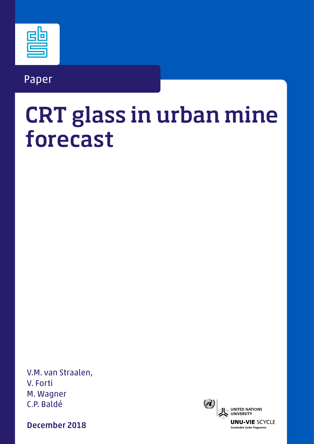### Paper

# CRT glass in urban mine forecast

V.M. van Straalen, V. Forti M. Wagner C.P. Baldé

December 2018

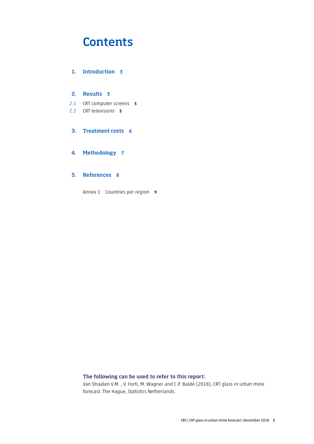### **Contents**

#### 1. [Introduction](#page-2-0) 3

#### 2. [Results](#page-2-0) 3

2.1 [CRT computer screens](#page-2-0) 3

2.2 [CRT televisions](#page-4-0) 5

#### 3. [Treatment costs](#page-5-0) 6

#### 4. [Methodology](#page-6-0) 7

#### 5. [References](#page-7-0) 8

Annex 1 [Countries per region](#page-8-0) 9

#### The following can be used to refer to this report:

Van Straalen V.M. , V. Forti, M. Wagner and C.P. Baldé (2018), CRT glass in urban mine forecast. The Hague, Statistics Netherlands.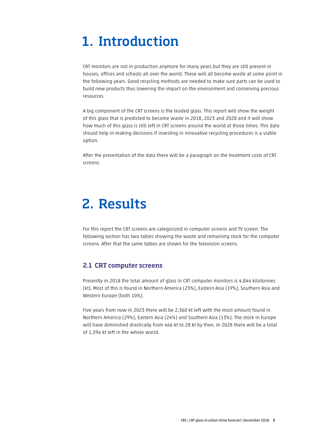# <span id="page-2-0"></span>1. Introduction

CRT monitors are not in production anymore for many years but they are still present in houses, offices and schools all over the world. These will all become waste at some point in the following years. Good recycling methods are needed to make sure parts can be used to build new products thus lowering the impact on the environment and conserving precious resources.

A big component of the CRT screens is the leaded glass. This report will show the weight of this glass that is predicted to become waste in 2018, 2023 and 2028 and it will show how much of this glass is still left in CRT screens around the world at those times. This data should help in making decisions if investing in innovative recycling procedures is a viable option.

After the presentation of the data there will be a paragraph on the treatment costs of CRT screens.

### 2. Results

For this report the CRT screens are categorized in computer screens and TV screen. The following section has two tables showing the waste and remaining stock for the computer screens. After that the same tables are shown for the television screens.

#### 2.1 CRT computer screens

Presently in 2018 the total amount of glass in CRT computer monitors is 4,844 kilotonnes (kt). Most of this is found in Northern America (23%), Eastern Asia (19%), Southern Asia and Western Europe (both 10%).

Five years from now in 2023 there will be 2,360 kt left with the most amount found in Northern America (29%), Eastern Asia (24%) and Southern Asia (13%). The stock in Europe will have diminished drastically from 466 kt to 28 kt by then. In 2028 there will be a total of 1,396 kt left in the whole world.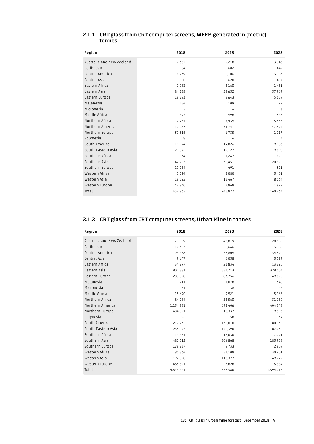| Region                    | 2018    | 2023    | 2028           |
|---------------------------|---------|---------|----------------|
| Australia and New Zealand | 7,637   | 5,218   | 3,346          |
| Caribbean                 | 964     | 682     | 449            |
| Central America           | 8,739   | 6,106   | 3,983          |
| Central Asia              | 880     | 620     | 407            |
| Eastern Africa            | 2,983   | 2,163   | 1,451          |
| Eastern Asia              | 84,738  | 58,632  | 37,969         |
| Eastern Europe            | 18,793  | 8,643   | 5,659          |
| Melanesia                 | 154     | 109     | 72             |
| Micronesia                | 5       | 4       | 3              |
| Middle Africa             | 1,393   | 998     | 663            |
| Northern Africa           | 7,764   | 5,439   | 3,555          |
| Northern America          | 110,087 | 74,741  | 47,694         |
| Northern Europe           | 37,816  | 1,735   | 1,117          |
| Polynesia                 | 8       | 6       | $\overline{4}$ |
| South America             | 19,974  | 14,026  | 9,186          |
| South-Eastern Asia        | 21,572  | 15,127  | 9,896          |
| Southern Africa           | 1,834   | 1,267   | 820            |
| Southern Asia             | 42,283  | 30,451  | 20,326         |
| Southern Europe           | 17,254  | 491     | 321            |
| Western Africa            | 7,024   | 5,080   | 3,401          |
| Western Asia              | 18,122  | 12,467  | 8,064          |
| Western Europe            | 42,840  | 2,868   | 1,879          |
| Total                     | 452,865 | 246,872 | 160,264        |

#### 2.1.1 CRT glass from CRT computer screens, WEEE-generated in (metric) tonnes

#### 2.1.2 CRT glass from CRT computer screens, Urban Mine in tonnes

| Region                    | 2018      | 2023      | 2028      |
|---------------------------|-----------|-----------|-----------|
| Australia and New Zealand | 79,559    | 48,819    | 28,582    |
| Caribbean                 | 10,627    | 6,666     | 3,982     |
| Central America           | 94,458    | 58,809    | 34,890    |
| Central Asia              | 9,647     | 6,038     | 3,599     |
| Eastern Africa            | 34,277    | 21,834    | 13,220    |
| Eastern Asia              | 901,381   | 557,713   | 329,004   |
| Eastern Europe            | 203,328   | 83,756    | 49,825    |
| Melanesia                 | 1,711     | 1,078     | 646       |
| Micronesia                | 61        | 38        | 23        |
| Middle Africa             | 15,690    | 9,921     | 5,968     |
| Northern Africa           | 84,284    | 52,563    | 31,230    |
| Northern America          | 1,134,881 | 693,406   | 404,348   |
| Northern Europe           | 404,821   | 16,337    | 9,593     |
| Polynesia                 | 92        | 58        | 34        |
| South America             | 217,735   | 136,010   | 80,935    |
| South-Eastern Asia        | 234,577   | 146,390   | 87,032    |
| Southern Africa           | 19,461    | 12,030    | 7,091     |
| Southern Asia             | 480,512   | 304,868   | 183,958   |
| Southern Europe           | 178,237   | 4,733     | 2,809     |
| Western Africa            | 80,364    | 51,108    | 30,901    |
| Western Asia              | 192,328   | 118,377   | 69,779    |
| Western Europe            | 466,391   | 27,828    | 16,564    |
| Total                     | 4,844,421 | 2,358,380 | 1,394,015 |
|                           |           |           |           |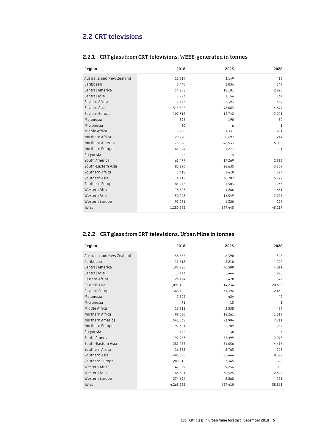#### <span id="page-4-0"></span>2.2 CRT televisions

| Region                    | 2018      | 2023    | 2028           |
|---------------------------|-----------|---------|----------------|
| Australia and New Zealand | 11,614    | 3,149   | 415            |
| Caribbean                 | 3,440     | 1,034   | 149            |
| Central America           | 54,908    | 18,101  | 2,825          |
| Central Asia              | 3,993     | 1,156   | 164            |
| Eastern Africa            | 7,173     | 2,393   | 389            |
| Eastern Asia              | 314,823   | 98,083  | 14,679         |
| Eastern Europe            | 107,315   | 15,742  | 2,001          |
| Melanesia                 | 596       | 190     | 30             |
| Micronesia                | 20        | 6       | $\mathbf{1}$   |
| Middle Africa             | 3,250     | 1,331   | 281            |
| Northern Africa           | 29,778    | 8,697   | 1,214          |
| Northern America          | 173,098   | 46,533  | 6,060          |
| Northern Europe           | 63,594    | 1,277   | 191            |
| Polynesia                 | 45        | 14      | $\overline{c}$ |
| South America             | 61,477    | 17,269  | 2,325          |
| South-Eastern Asia        | 86,296    | 24,635  | 3,357          |
| Southern Africa           | 5,418     | 1,410   | 174            |
| Southern Asia             | 114,117   | 36,787  | 5,772          |
| Southern Europe           | 84,973    | 1,503   | 233            |
| Western Africa            | 13,827    | 4,266   | 631            |
| Western Asia              | 50,208    | 14,549  | 2,027          |
| Western Europe            | 91,031    | 1,320   | 196            |
| Total                     | 1,280,995 | 299,445 | 43,117         |

#### 2.2.1 CRT glass from CRT televisions, WEEE-generated in tonnes

#### 2.2.2 CRT glass from CRT televisions, Urban Mine in tonnes

| Region                    | 2018      | 2023    | 2028   |
|---------------------------|-----------|---------|--------|
| Australia and New Zealand | 36,535    | 6,390   | 528    |
| Caribbean                 | 11,618    | 2,210   | 202    |
| Central America           | 197,980   | 40,500  | 4,011  |
| Central Asia              | 13,143    | 2,446   | 220    |
| Eastern Africa            | 26,134    | 5,478   | 577    |
| Eastern Asia              | 1,091,455 | 214,234 | 20,656 |
| Eastern Europe            | 363,102   | 31,396  | 2,438  |
| Melanesia                 | 2,103     | 424     | 42     |
| Micronesia                | 71        | 15      | 1      |
| Middle Africa             | 13,911    | 3,558   | 489    |
| Northern Africa           | 98,580    | 18,261  | 1,617  |
| Northern America          | 541,568   | 93,904  | 7,711  |
| Northern Europe           | 197,321   | 2,789   | 267    |
| Polynesia                 | 155       | 30      | 3      |
| South America             | 197,967   | 35,499  | 2,973  |
| South-Eastern Asia        | 281,235   | 51,056  | 4,416  |
| Southern Africa           | 16,572    | 2,763   | 208    |
| Southern Asia             | 405,325   | 82,464  | 8,322  |
| Southern Europe           | 280,515   | 3,345   | 329    |
| Western Africa            | 47,599    | 9,256   | 880    |
| Western Asia              | 166,351   | 30,525  | 2,697  |
| Western Europe            | 274,694   | 2,868   | 271    |
| Total                     | 4,263,935 | 639,410 | 58,861 |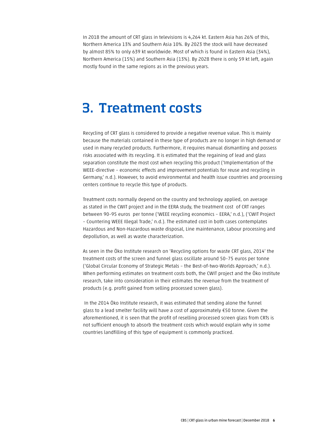<span id="page-5-0"></span>In 2018 the amount of CRT glass in televisions is 4,264 kt. Eastern Asia has 26% of this, Northern America 13% and Southern Asia 10%. By 2023 the stock will have decreased by almost 85% to only 639 kt worldwide. Most of which is found in Eastern Asia (34%), Northern America (15%) and Southern Asia (13%). By 2028 there is only 59 kt left, again mostly found in the same regions as in the previous years.

### 3. Treatment costs

Recycling of CRT glass is considered to provide a negative revenue value. This is mainly because the materials contained in these type of products are no longer in high demand or used in many recycled products. Furthermore, it requires manual dismantling and possess risks associated with its recycling. It is estimated that the regaining of lead and glass separation constitute the most cost when recycling this product ('Implementation of the WEEE-directive – economic effects and improvement potentials for reuse and recycling in Germany,' n.d.). However, to avoid environmental and health issue countries and processing centers continue to recycle this type of products.

Treatment costs normally depend on the country and technology applied, on average as stated in the CWIT project and in the EERA study, the treatment cost of CRT ranges between 90–95 euros per tonne ('WEEE recycling economics – EERA,' n.d.), ('CWIT Project – Countering WEEE Illegal Trade,' n.d.). The estimated cost in both cases contemplates Hazardous and Non-Hazardous waste disposal, Line maintenance, Labour processing and depollution, as well as waste characterization.

As seen in the Öko Institute research on 'Recycling options for waste CRT glass, 2014' the treatment costs of the screen and funnel glass oscillate around 50–75 euros per tonne ('Global Circular Economy of Strategic Metals – the Best-of-two-Worlds Approach,' n.d.). When performing estimates on treatment costs both, the CWIT project and the Öko Institute research, take into consideration in their estimates the revenue from the treatment of products (e.g. profit gained from selling processed screen glass).

 In the 2014 Öko Institute research, it was estimated that sending alone the funnel glass to a lead smelter facility will have a cost of approximately €50 tonne. Given the aforementioned, it is seen that the profit of reselling processed screen glass from CRTs is not sufficient enough to absorb the treatment costs which would explain why in some countries landfilling of this type of equipment is commonly practiced.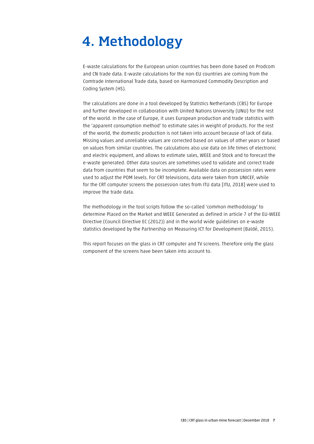# <span id="page-6-0"></span>4. Methodology

E-waste calculations for the European union countries has been done based on Prodcom and CN trade data. E-waste calculations for the non-EU countries are coming from the Comtrade International Trade data, based on Harmonized Commodity Description and Coding System (HS).

The calculations are done in a tool developed by Statistics Netherlands (CBS) for Europe and further developed in collaboration with United Nations University (UNU) for the rest of the world. In the case of Europe, it uses European production and trade statistics with the 'apparent consumption method' to estimate sales in weight of products. For the rest of the world, the domestic production is not taken into account because of lack of data. Missing values and unreliable values are corrected based on values of other years or based on values from similar countries. The calculations also use data on life times of electronic and electric equipment, and allows to estimate sales, WEEE and Stock and to forecast the e-waste generated. Other data sources are sometimes used to validate and correct trade data from countries that seem to be incomplete. Available data on possession rates were used to adjust the POM levels. For CRT televisions, data were taken from UNICEF, while for the CRT computer screens the possession rates from ITU data [ITU, 2018] were used to improve the trade data.

The methodology in the tool scripts follow the so-called 'common methodology' to determine Placed on the Market and WEEE Generated as defined in article 7 of the EU-WEEE Directive (Council Directive EC (2012)) and in the world wide guidelines on e-waste statistics developed by the Partnership on Measuring ICT for Development (Baldé, 2015).

This report focuses on the glass in CRT computer and TV screens. Therefore only the glass component of the screens have been taken into account to.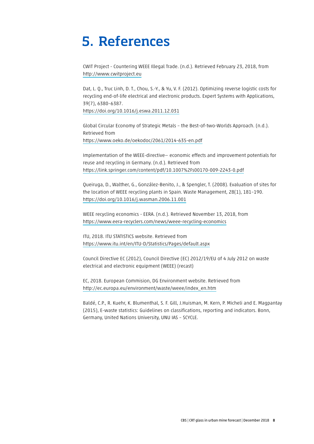### <span id="page-7-0"></span>5. References

CWIT Project - Countering WEEE Illegal Trade. (n.d.). Retrieved February 23, 2018, from <http://www.cwitproject.eu>

Dat, L. Q., Truc Linh, D. T., Chou, S.-Y., & Yu, V. F. (2012). Optimizing reverse logistic costs for recycling end-of-life electrical and electronic products. Expert Systems with Applications, 39(7), 6380–6387. <https://doi.org/10.1016/j.eswa.2011.12.031>

Global Circular Economy of Strategic Metals – the Best-of-two-Worlds Approach. (n.d.). Retrieved from <https://www.oeko.de/oekodoc/2061/2014-635-en.pdf>

Implementation of the WEEE-directive— economic effects and improvement potentials for reuse and recycling in Germany. (n.d.). Retrieved from <https://link.springer.com/content/pdf/10.1007%2Fs00170-009-2243-0.pdf>

Queiruga, D., Walther, G., González-Benito, J., & Spengler, T. (2008). Evaluation of sites for the location of WEEE recycling plants in Spain. Waste Management, 28(1), 181–190. <https://doi.org/10.1016/j.wasman.2006.11.001>

WEEE recycling economics - EERA. (n.d.). Retrieved November 13, 2018, from <https://www.eera-recyclers.com/news/weee-recycling-economics>

ITU, 2018. ITU STATISTICS website. Retrieved from <https://www.itu.int/en/ITU-D/Statistics/Pages/default.aspx>

Council Directive EC (2012), Council Directive (EC) 2012/19/EU of 4 July 2012 on waste electrical and electronic equipment (WEEE) (recast)

EC, 2018. European Commision, DG Environment website. Retrieved from [http://ec.europa.eu/environment/waste/weee/index\\_en.htm](http://ec.europa.eu/environment/waste/weee/index_en.htm)

Baldé, C.P., R. Kuehr, K. Blumenthal, S. F. Gill, J.Huisman, M. Kern, P. Micheli and E. Magpantay (2015), E-waste statistics: Guidelines on classifications, reporting and indicators. Bonn, Germany, United Nations University, UNU IAS – SCYCLE.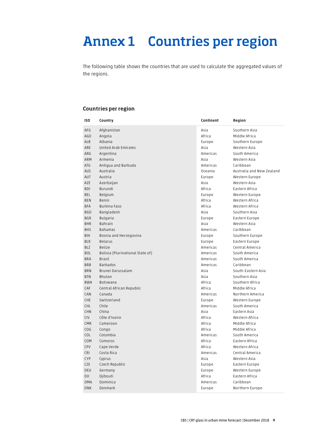## <span id="page-8-0"></span>Annex 1 Countries per region

The following table shows the countries that are used to calculate the aggregated values of the regions.

#### Countries per region

| ISO        | Country                          | Continent | Region                    |
|------------|----------------------------------|-----------|---------------------------|
| AFG        | Afghanistan                      | Asia      | Southern Asia             |
| AGO        | Angola                           | Africa    | Middle Africa             |
| ALB        | Albania                          | Europe    | Southern Europe           |
| ARE        | United Arab Emirates             | Asia      | Western Asia              |
| ARG        | Argentina                        | Americas  | South America             |
| ARM        | Armenia                          | Asia      | Western Asia              |
| ATG        | Antiqua and Barbuda              | Americas  | Caribbean                 |
| AUS        | Australia                        | Oceania   | Australia and New Zealand |
| AUT        | Austria                          | Europe    | Western Europe            |
| AZE        | Azerbaijan                       | Asia      | Western Asia              |
| <b>BDI</b> | Burundi                          | Africa    | Eastern Africa            |
| BEL        | Belgium                          | Europe    | Western Europe            |
| <b>BEN</b> | Benin                            | Africa    | Western Africa            |
| BFA        | Burkina Faso                     | Africa    | Western Africa            |
| BGD        | Bangladesh                       | Asia      | Southern Asia             |
| <b>BGR</b> | Bulgaria                         | Europe    | Eastern Europe            |
| BHR        | Bahrain                          | Asia      | Western Asia              |
| <b>BHS</b> | Bahamas                          | Americas  | Caribbean                 |
| BIH        | Bosnia and Herzegovina           | Europe    | Southern Europe           |
| <b>BLR</b> | Belarus                          | Europe    | Eastern Europe            |
| BLZ        | Belize                           | Americas  | Central America           |
| <b>BOL</b> | Bolivia (Plurinational State of) | Americas  | South America             |
| <b>BRA</b> | Brazil                           | Americas  | South America             |
| <b>BRB</b> | Barbados                         | Americas  | Caribbean                 |
| <b>BRN</b> | Brunei Darussalam                | Asia      | South-Eastern Asia        |
| <b>BTN</b> | Bhutan                           | Asia      | Southern Asia             |
| BWA        | Botswana                         | Africa    | Southern Africa           |
| CAF        | Central African Republic         | Africa    | Middle Africa             |
| CAN        | Canada                           | Americas  | Northern America          |
| <b>CHE</b> | Switzerland                      | Europe    | Western Europe            |
| <b>CHL</b> | Chile                            | Americas  | South America             |
| <b>CHN</b> | China                            | Asia      | Eastern Asia              |
| <b>CIV</b> | Côte d'Ivoire                    | Africa    | Western Africa            |
| <b>CMR</b> | Cameroon                         | Africa    | Middle Africa             |
| COG        | Congo                            | Africa    | Middle Africa             |
| COL        | Colombia                         | Americas  | South America             |
| COM        | Comoros                          | Africa    | Eastern Africa            |
| CPV        | Cape Verde                       | Africa    | Western Africa            |
| <b>CRI</b> | Costa Rica                       | Americas  | Central America           |
| <b>CYP</b> | Cyprus                           | Asia      | Western Asia              |
| CZE        | Czech Republic                   | Europe    | Eastern Europe            |
| DEU        | Germany                          | Europe    | Western Europe            |
| DJI        | Djibouti                         | Africa    | Eastern Africa            |
| <b>DMA</b> | Dominica                         | Americas  | Caribbean                 |
| <b>DNK</b> | Denmark                          | Europe    | Northern Europe           |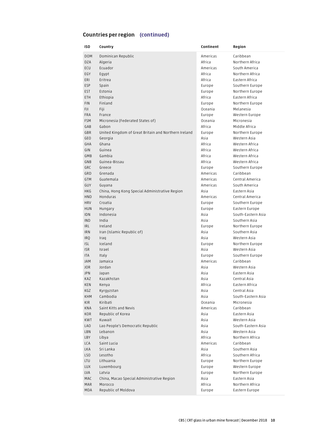#### Countries per region (continued)

| ISO                      | Country                                                    | Continent        | Region                          |
|--------------------------|------------------------------------------------------------|------------------|---------------------------------|
| <b>DOM</b>               | Dominican Republic                                         | Americas         | Caribbean                       |
| <b>DZA</b>               | Algeria                                                    | Africa           | Northern Africa                 |
| ECU                      | Ecuador                                                    | Americas         | South America                   |
| EGY                      | Egypt                                                      | Africa           | Northern Africa                 |
| ERI                      | Eritrea                                                    | Africa           | Eastern Africa                  |
| ESP                      | Spain                                                      | Europe           | Southern Europe                 |
| <b>EST</b>               | Estonia                                                    | Europe           | Northern Europe                 |
| ETH                      | Ethiopia                                                   | Africa           | Eastern Africa                  |
| <b>FIN</b>               | Finland                                                    | Europe           | Northern Europe                 |
| FJI                      | Fiji                                                       | Oceania          | Melanesia                       |
| <b>FRA</b>               | France                                                     | Europe           | Western Europe                  |
| <b>FSM</b>               | Micronesia (Federated States of)                           | Oceania          | Micronesia                      |
| GAB                      | Gabon                                                      | Africa           | Middle Africa                   |
| GBR                      | United Kingdom of Great Britain and Northern Ireland       | Europe           | Northern Europe                 |
| GEO                      | Georgia                                                    | Asia             | Western Asia                    |
| GHA                      | Ghana                                                      | Africa           | Western Africa                  |
| GIN                      | Guinea                                                     | Africa           | Western Africa                  |
| GMB                      | Gambia                                                     | Africa           | Western Africa                  |
| GNB                      | Guinea-Bissau                                              | Africa           | Western Africa                  |
| GRC                      | Greece                                                     | Europe           | Southern Europe                 |
| GRD                      | Grenada                                                    | Americas         | Caribbean<br>Central America    |
| <b>GTM</b>               | Guatemala                                                  | Americas         |                                 |
| GUY                      | Guvana                                                     | Americas<br>Asia | South America                   |
| <b>HKG</b><br><b>HND</b> | China, Hong Kong Special Administrative Region<br>Honduras | Americas         | Eastern Asia<br>Central America |
| <b>HRV</b>               | Croatia                                                    | Europe           | Southern Europe                 |
| HUN                      | Hungary                                                    | Europe           | Eastern Europe                  |
| <b>IDN</b>               | Indonesia                                                  | Asia             | South-Eastern Asia              |
| <b>IND</b>               | India                                                      | Asia             | Southern Asia                   |
| IRL                      | Ireland                                                    | Europe           | Northern Europe                 |
| <b>IRN</b>               | Iran (Islamic Republic of)                                 | Asia             | Southern Asia                   |
| <b>IRQ</b>               | Iraq                                                       | Asia             | Western Asia                    |
| <b>ISL</b>               | Iceland                                                    | Europe           | Northern Europe                 |
| <b>ISR</b>               | Israel                                                     | Asia             | Western Asia                    |
| ITA                      | Italy                                                      | Europe           | Southern Europe                 |
| <b>JAM</b>               | Jamaica                                                    | Americas         | Caribbean                       |
| JOR                      | Jordan                                                     | Asia             | Western Asia                    |
| <b>JPN</b>               | Japan                                                      | Asia             | Eastern Asia                    |
| KAZ                      | Kazakhstan                                                 | Asia             | Central Asia                    |
| KEN                      | Kenya                                                      | Africa           | Eastern Africa                  |
| KGZ                      | Kyrgyzstan                                                 | Asia             | Central Asia                    |
| <b>KHM</b>               | Cambodia                                                   | Asia             | South-Eastern Asia              |
| KIR                      | Kiribati                                                   | Oceania          | Micronesia                      |
| KNA                      | Saint Kitts and Nevis                                      | Americas         | Caribbean                       |
| KOR                      | Republic of Korea                                          | Asia             | Eastern Asia                    |
| <b>KWT</b>               | Kuwait                                                     | Asia             | Western Asia                    |
| LAO                      | Lao People's Democratic Republic                           | Asia             | South-Eastern Asia              |
| LBN                      | Lebanon                                                    | Asia             | Western Asia                    |
| LBY                      | Libya                                                      | Africa           | Northern Africa                 |
| LCA                      | Saint Lucia                                                | Americas         | Caribbean                       |
| LKA                      | Sri Lanka                                                  | Asia             | Southern Asia                   |
| LSO                      | Lesotho                                                    | Africa           | Southern Africa                 |
| <b>LTU</b>               | Lithuania                                                  | Europe           | Northern Europe                 |
| LUX                      | Luxembourg                                                 | Europe           | Western Europe                  |
| LVA                      | Latvia                                                     | Europe           | Northern Europe                 |
| MAC                      | China, Macao Special Administrative Region                 | Asia             | Eastern Asia                    |
| MAR                      | Morocco                                                    | Africa           | Northern Africa                 |
| MDA                      | Republic of Moldova                                        | Europe           | Eastern Europe                  |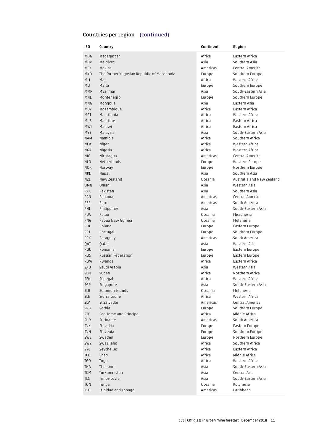#### Countries per region (continued)

| Madagascar<br>Africa<br>Eastern Africa<br>MDG<br>MDV<br>Maldives<br>Asia<br>Southern Asia<br>MEX<br>Mexico<br>Americas<br>Central America<br>MKD<br>The former Yugoslav Republic of Macedonia<br>Europe<br>Southern Europe<br>MLI<br>Africa<br>Western Africa<br>Mali<br>Malta<br><b>MLT</b><br>Europe<br>Southern Europe<br>Asia<br>South-Eastern Asia<br><b>MMR</b><br>Myanmar<br>MNE<br>Montenegro<br>Southern Europe<br>Europe<br>Eastern Asia<br>MNG<br>Mongolia<br>Asia<br>MOZ<br>Mozambique<br>Africa<br>Eastern Africa<br><b>MRT</b><br>Mauritania<br>Africa<br>Western Africa<br>Mauritius<br><b>MUS</b><br>Africa<br>Eastern Africa<br>Malawi<br>MWI<br>Africa<br>Eastern Africa<br><b>MYS</b><br>Malaysia<br>Asia<br>South-Eastern Asia<br>Namibia<br><b>NAM</b><br>Africa<br>Southern Africa<br>Africa<br><b>NER</b><br>Niger<br>Western Africa<br>Africa<br>Western Africa<br>NGA<br>Nigeria<br><b>NIC</b><br>Central America<br>Nicaragua<br>Americas<br>Netherlands<br><b>NLD</b><br>Europe<br>Western Europe<br><b>NOR</b><br>Norway<br>Europe<br>Northern Europe<br>Asia<br>Southern Asia<br><b>NPL</b><br>Nepal<br><b>NZL</b><br>New Zealand<br>Oceania<br>Australia and New Zealand<br><b>OMN</b><br>Oman<br>Asia<br>Western Asia<br>Pakistan<br><b>PAK</b><br>Asia<br>Southern Asia<br>Central America<br>PAN<br>Panama<br>Americas<br>PER<br>Americas<br>South America<br>Peru<br>PHL<br>Philippines<br>South-Eastern Asia<br>Asia<br>Palau<br>PLW<br>Oceania<br>Micronesia<br>PNG<br>Papua New Guinea<br>Oceania<br>Melanesia<br>POL<br>Poland<br>Eastern Europe<br>Europe<br><b>PRT</b><br>Portugal<br>Europe<br>Southern Europe<br><b>PRY</b><br>Americas<br>Paraguay<br>South America<br>QAT<br>Qatar<br>Asia<br>Western Asia<br>Romania<br>ROU<br>Europe<br>Eastern Europe<br>Russian Federation<br><b>RUS</b><br>Europe<br>Eastern Europe<br>Rwanda<br>Africa<br>Eastern Africa<br><b>RWA</b><br>SAU<br>Saudi Arabia<br>Asia<br>Western Asia<br>Sudan<br>Africa<br>Northern Africa<br>SDN<br>SEN<br>Africa<br>Western Africa<br>Senegal<br>South-Eastern Asia<br>SGP<br>Singapore<br>Asia<br>Solomon Islands<br>Oceania<br>Melanesia<br><b>SLB</b><br><b>SLE</b><br>Sierra Leone<br>Africa<br>Western Africa<br>Americas<br>Central America<br><b>SLV</b><br>El Salvador<br>SRB<br>Serbia<br>Southern Europe<br>Europe<br><b>STP</b><br>Sao Tome and Principe<br>Africa<br>Middle Africa<br>Suriname<br>Americas<br>South America<br><b>SUR</b><br>SVK<br>Slovakia<br>Eastern Europe<br>Europe<br>SVN<br>Slovenia<br>Europe<br>Southern Europe<br>Northern Europe<br>SWE<br>Sweden<br>Europe<br>Swaziland<br>Africa<br>Southern Africa<br><b>SWZ</b><br>SYC<br>Seychelles<br>Africa<br>Eastern Africa<br>Chad<br>Africa<br>Middle Africa<br>TCD<br>Western Africa<br>TGO<br>Togo<br>Africa<br>Thailand<br>THA<br>Asia<br>South-Eastern Asia<br>TKM<br>Turkmenistan<br>Asia<br>Central Asia<br>TLS<br>Timor-Leste<br>Asia<br>South-Eastern Asia<br>TON<br>Polynesia<br>Tonga<br>Oceania | ISO | Country             | Continent | Region    |
|-------------------------------------------------------------------------------------------------------------------------------------------------------------------------------------------------------------------------------------------------------------------------------------------------------------------------------------------------------------------------------------------------------------------------------------------------------------------------------------------------------------------------------------------------------------------------------------------------------------------------------------------------------------------------------------------------------------------------------------------------------------------------------------------------------------------------------------------------------------------------------------------------------------------------------------------------------------------------------------------------------------------------------------------------------------------------------------------------------------------------------------------------------------------------------------------------------------------------------------------------------------------------------------------------------------------------------------------------------------------------------------------------------------------------------------------------------------------------------------------------------------------------------------------------------------------------------------------------------------------------------------------------------------------------------------------------------------------------------------------------------------------------------------------------------------------------------------------------------------------------------------------------------------------------------------------------------------------------------------------------------------------------------------------------------------------------------------------------------------------------------------------------------------------------------------------------------------------------------------------------------------------------------------------------------------------------------------------------------------------------------------------------------------------------------------------------------------------------------------------------------------------------------------------------------------------------------------------------------------------------------------------------------------------------------------------------------------------------------------------------------------------------------------------------------------------------------------------------------------------------------------------------------------------------------------------------------------------------------------------------------------------|-----|---------------------|-----------|-----------|
|                                                                                                                                                                                                                                                                                                                                                                                                                                                                                                                                                                                                                                                                                                                                                                                                                                                                                                                                                                                                                                                                                                                                                                                                                                                                                                                                                                                                                                                                                                                                                                                                                                                                                                                                                                                                                                                                                                                                                                                                                                                                                                                                                                                                                                                                                                                                                                                                                                                                                                                                                                                                                                                                                                                                                                                                                                                                                                                                                                                                                   |     |                     |           |           |
|                                                                                                                                                                                                                                                                                                                                                                                                                                                                                                                                                                                                                                                                                                                                                                                                                                                                                                                                                                                                                                                                                                                                                                                                                                                                                                                                                                                                                                                                                                                                                                                                                                                                                                                                                                                                                                                                                                                                                                                                                                                                                                                                                                                                                                                                                                                                                                                                                                                                                                                                                                                                                                                                                                                                                                                                                                                                                                                                                                                                                   |     |                     |           |           |
|                                                                                                                                                                                                                                                                                                                                                                                                                                                                                                                                                                                                                                                                                                                                                                                                                                                                                                                                                                                                                                                                                                                                                                                                                                                                                                                                                                                                                                                                                                                                                                                                                                                                                                                                                                                                                                                                                                                                                                                                                                                                                                                                                                                                                                                                                                                                                                                                                                                                                                                                                                                                                                                                                                                                                                                                                                                                                                                                                                                                                   |     |                     |           |           |
|                                                                                                                                                                                                                                                                                                                                                                                                                                                                                                                                                                                                                                                                                                                                                                                                                                                                                                                                                                                                                                                                                                                                                                                                                                                                                                                                                                                                                                                                                                                                                                                                                                                                                                                                                                                                                                                                                                                                                                                                                                                                                                                                                                                                                                                                                                                                                                                                                                                                                                                                                                                                                                                                                                                                                                                                                                                                                                                                                                                                                   |     |                     |           |           |
|                                                                                                                                                                                                                                                                                                                                                                                                                                                                                                                                                                                                                                                                                                                                                                                                                                                                                                                                                                                                                                                                                                                                                                                                                                                                                                                                                                                                                                                                                                                                                                                                                                                                                                                                                                                                                                                                                                                                                                                                                                                                                                                                                                                                                                                                                                                                                                                                                                                                                                                                                                                                                                                                                                                                                                                                                                                                                                                                                                                                                   |     |                     |           |           |
|                                                                                                                                                                                                                                                                                                                                                                                                                                                                                                                                                                                                                                                                                                                                                                                                                                                                                                                                                                                                                                                                                                                                                                                                                                                                                                                                                                                                                                                                                                                                                                                                                                                                                                                                                                                                                                                                                                                                                                                                                                                                                                                                                                                                                                                                                                                                                                                                                                                                                                                                                                                                                                                                                                                                                                                                                                                                                                                                                                                                                   |     |                     |           |           |
|                                                                                                                                                                                                                                                                                                                                                                                                                                                                                                                                                                                                                                                                                                                                                                                                                                                                                                                                                                                                                                                                                                                                                                                                                                                                                                                                                                                                                                                                                                                                                                                                                                                                                                                                                                                                                                                                                                                                                                                                                                                                                                                                                                                                                                                                                                                                                                                                                                                                                                                                                                                                                                                                                                                                                                                                                                                                                                                                                                                                                   |     |                     |           |           |
|                                                                                                                                                                                                                                                                                                                                                                                                                                                                                                                                                                                                                                                                                                                                                                                                                                                                                                                                                                                                                                                                                                                                                                                                                                                                                                                                                                                                                                                                                                                                                                                                                                                                                                                                                                                                                                                                                                                                                                                                                                                                                                                                                                                                                                                                                                                                                                                                                                                                                                                                                                                                                                                                                                                                                                                                                                                                                                                                                                                                                   |     |                     |           |           |
|                                                                                                                                                                                                                                                                                                                                                                                                                                                                                                                                                                                                                                                                                                                                                                                                                                                                                                                                                                                                                                                                                                                                                                                                                                                                                                                                                                                                                                                                                                                                                                                                                                                                                                                                                                                                                                                                                                                                                                                                                                                                                                                                                                                                                                                                                                                                                                                                                                                                                                                                                                                                                                                                                                                                                                                                                                                                                                                                                                                                                   |     |                     |           |           |
|                                                                                                                                                                                                                                                                                                                                                                                                                                                                                                                                                                                                                                                                                                                                                                                                                                                                                                                                                                                                                                                                                                                                                                                                                                                                                                                                                                                                                                                                                                                                                                                                                                                                                                                                                                                                                                                                                                                                                                                                                                                                                                                                                                                                                                                                                                                                                                                                                                                                                                                                                                                                                                                                                                                                                                                                                                                                                                                                                                                                                   |     |                     |           |           |
|                                                                                                                                                                                                                                                                                                                                                                                                                                                                                                                                                                                                                                                                                                                                                                                                                                                                                                                                                                                                                                                                                                                                                                                                                                                                                                                                                                                                                                                                                                                                                                                                                                                                                                                                                                                                                                                                                                                                                                                                                                                                                                                                                                                                                                                                                                                                                                                                                                                                                                                                                                                                                                                                                                                                                                                                                                                                                                                                                                                                                   |     |                     |           |           |
|                                                                                                                                                                                                                                                                                                                                                                                                                                                                                                                                                                                                                                                                                                                                                                                                                                                                                                                                                                                                                                                                                                                                                                                                                                                                                                                                                                                                                                                                                                                                                                                                                                                                                                                                                                                                                                                                                                                                                                                                                                                                                                                                                                                                                                                                                                                                                                                                                                                                                                                                                                                                                                                                                                                                                                                                                                                                                                                                                                                                                   |     |                     |           |           |
|                                                                                                                                                                                                                                                                                                                                                                                                                                                                                                                                                                                                                                                                                                                                                                                                                                                                                                                                                                                                                                                                                                                                                                                                                                                                                                                                                                                                                                                                                                                                                                                                                                                                                                                                                                                                                                                                                                                                                                                                                                                                                                                                                                                                                                                                                                                                                                                                                                                                                                                                                                                                                                                                                                                                                                                                                                                                                                                                                                                                                   |     |                     |           |           |
|                                                                                                                                                                                                                                                                                                                                                                                                                                                                                                                                                                                                                                                                                                                                                                                                                                                                                                                                                                                                                                                                                                                                                                                                                                                                                                                                                                                                                                                                                                                                                                                                                                                                                                                                                                                                                                                                                                                                                                                                                                                                                                                                                                                                                                                                                                                                                                                                                                                                                                                                                                                                                                                                                                                                                                                                                                                                                                                                                                                                                   |     |                     |           |           |
|                                                                                                                                                                                                                                                                                                                                                                                                                                                                                                                                                                                                                                                                                                                                                                                                                                                                                                                                                                                                                                                                                                                                                                                                                                                                                                                                                                                                                                                                                                                                                                                                                                                                                                                                                                                                                                                                                                                                                                                                                                                                                                                                                                                                                                                                                                                                                                                                                                                                                                                                                                                                                                                                                                                                                                                                                                                                                                                                                                                                                   |     |                     |           |           |
|                                                                                                                                                                                                                                                                                                                                                                                                                                                                                                                                                                                                                                                                                                                                                                                                                                                                                                                                                                                                                                                                                                                                                                                                                                                                                                                                                                                                                                                                                                                                                                                                                                                                                                                                                                                                                                                                                                                                                                                                                                                                                                                                                                                                                                                                                                                                                                                                                                                                                                                                                                                                                                                                                                                                                                                                                                                                                                                                                                                                                   |     |                     |           |           |
|                                                                                                                                                                                                                                                                                                                                                                                                                                                                                                                                                                                                                                                                                                                                                                                                                                                                                                                                                                                                                                                                                                                                                                                                                                                                                                                                                                                                                                                                                                                                                                                                                                                                                                                                                                                                                                                                                                                                                                                                                                                                                                                                                                                                                                                                                                                                                                                                                                                                                                                                                                                                                                                                                                                                                                                                                                                                                                                                                                                                                   |     |                     |           |           |
|                                                                                                                                                                                                                                                                                                                                                                                                                                                                                                                                                                                                                                                                                                                                                                                                                                                                                                                                                                                                                                                                                                                                                                                                                                                                                                                                                                                                                                                                                                                                                                                                                                                                                                                                                                                                                                                                                                                                                                                                                                                                                                                                                                                                                                                                                                                                                                                                                                                                                                                                                                                                                                                                                                                                                                                                                                                                                                                                                                                                                   |     |                     |           |           |
|                                                                                                                                                                                                                                                                                                                                                                                                                                                                                                                                                                                                                                                                                                                                                                                                                                                                                                                                                                                                                                                                                                                                                                                                                                                                                                                                                                                                                                                                                                                                                                                                                                                                                                                                                                                                                                                                                                                                                                                                                                                                                                                                                                                                                                                                                                                                                                                                                                                                                                                                                                                                                                                                                                                                                                                                                                                                                                                                                                                                                   |     |                     |           |           |
|                                                                                                                                                                                                                                                                                                                                                                                                                                                                                                                                                                                                                                                                                                                                                                                                                                                                                                                                                                                                                                                                                                                                                                                                                                                                                                                                                                                                                                                                                                                                                                                                                                                                                                                                                                                                                                                                                                                                                                                                                                                                                                                                                                                                                                                                                                                                                                                                                                                                                                                                                                                                                                                                                                                                                                                                                                                                                                                                                                                                                   |     |                     |           |           |
|                                                                                                                                                                                                                                                                                                                                                                                                                                                                                                                                                                                                                                                                                                                                                                                                                                                                                                                                                                                                                                                                                                                                                                                                                                                                                                                                                                                                                                                                                                                                                                                                                                                                                                                                                                                                                                                                                                                                                                                                                                                                                                                                                                                                                                                                                                                                                                                                                                                                                                                                                                                                                                                                                                                                                                                                                                                                                                                                                                                                                   |     |                     |           |           |
|                                                                                                                                                                                                                                                                                                                                                                                                                                                                                                                                                                                                                                                                                                                                                                                                                                                                                                                                                                                                                                                                                                                                                                                                                                                                                                                                                                                                                                                                                                                                                                                                                                                                                                                                                                                                                                                                                                                                                                                                                                                                                                                                                                                                                                                                                                                                                                                                                                                                                                                                                                                                                                                                                                                                                                                                                                                                                                                                                                                                                   |     |                     |           |           |
|                                                                                                                                                                                                                                                                                                                                                                                                                                                                                                                                                                                                                                                                                                                                                                                                                                                                                                                                                                                                                                                                                                                                                                                                                                                                                                                                                                                                                                                                                                                                                                                                                                                                                                                                                                                                                                                                                                                                                                                                                                                                                                                                                                                                                                                                                                                                                                                                                                                                                                                                                                                                                                                                                                                                                                                                                                                                                                                                                                                                                   |     |                     |           |           |
|                                                                                                                                                                                                                                                                                                                                                                                                                                                                                                                                                                                                                                                                                                                                                                                                                                                                                                                                                                                                                                                                                                                                                                                                                                                                                                                                                                                                                                                                                                                                                                                                                                                                                                                                                                                                                                                                                                                                                                                                                                                                                                                                                                                                                                                                                                                                                                                                                                                                                                                                                                                                                                                                                                                                                                                                                                                                                                                                                                                                                   |     |                     |           |           |
|                                                                                                                                                                                                                                                                                                                                                                                                                                                                                                                                                                                                                                                                                                                                                                                                                                                                                                                                                                                                                                                                                                                                                                                                                                                                                                                                                                                                                                                                                                                                                                                                                                                                                                                                                                                                                                                                                                                                                                                                                                                                                                                                                                                                                                                                                                                                                                                                                                                                                                                                                                                                                                                                                                                                                                                                                                                                                                                                                                                                                   |     |                     |           |           |
|                                                                                                                                                                                                                                                                                                                                                                                                                                                                                                                                                                                                                                                                                                                                                                                                                                                                                                                                                                                                                                                                                                                                                                                                                                                                                                                                                                                                                                                                                                                                                                                                                                                                                                                                                                                                                                                                                                                                                                                                                                                                                                                                                                                                                                                                                                                                                                                                                                                                                                                                                                                                                                                                                                                                                                                                                                                                                                                                                                                                                   |     |                     |           |           |
|                                                                                                                                                                                                                                                                                                                                                                                                                                                                                                                                                                                                                                                                                                                                                                                                                                                                                                                                                                                                                                                                                                                                                                                                                                                                                                                                                                                                                                                                                                                                                                                                                                                                                                                                                                                                                                                                                                                                                                                                                                                                                                                                                                                                                                                                                                                                                                                                                                                                                                                                                                                                                                                                                                                                                                                                                                                                                                                                                                                                                   |     |                     |           |           |
|                                                                                                                                                                                                                                                                                                                                                                                                                                                                                                                                                                                                                                                                                                                                                                                                                                                                                                                                                                                                                                                                                                                                                                                                                                                                                                                                                                                                                                                                                                                                                                                                                                                                                                                                                                                                                                                                                                                                                                                                                                                                                                                                                                                                                                                                                                                                                                                                                                                                                                                                                                                                                                                                                                                                                                                                                                                                                                                                                                                                                   |     |                     |           |           |
|                                                                                                                                                                                                                                                                                                                                                                                                                                                                                                                                                                                                                                                                                                                                                                                                                                                                                                                                                                                                                                                                                                                                                                                                                                                                                                                                                                                                                                                                                                                                                                                                                                                                                                                                                                                                                                                                                                                                                                                                                                                                                                                                                                                                                                                                                                                                                                                                                                                                                                                                                                                                                                                                                                                                                                                                                                                                                                                                                                                                                   |     |                     |           |           |
|                                                                                                                                                                                                                                                                                                                                                                                                                                                                                                                                                                                                                                                                                                                                                                                                                                                                                                                                                                                                                                                                                                                                                                                                                                                                                                                                                                                                                                                                                                                                                                                                                                                                                                                                                                                                                                                                                                                                                                                                                                                                                                                                                                                                                                                                                                                                                                                                                                                                                                                                                                                                                                                                                                                                                                                                                                                                                                                                                                                                                   |     |                     |           |           |
|                                                                                                                                                                                                                                                                                                                                                                                                                                                                                                                                                                                                                                                                                                                                                                                                                                                                                                                                                                                                                                                                                                                                                                                                                                                                                                                                                                                                                                                                                                                                                                                                                                                                                                                                                                                                                                                                                                                                                                                                                                                                                                                                                                                                                                                                                                                                                                                                                                                                                                                                                                                                                                                                                                                                                                                                                                                                                                                                                                                                                   |     |                     |           |           |
|                                                                                                                                                                                                                                                                                                                                                                                                                                                                                                                                                                                                                                                                                                                                                                                                                                                                                                                                                                                                                                                                                                                                                                                                                                                                                                                                                                                                                                                                                                                                                                                                                                                                                                                                                                                                                                                                                                                                                                                                                                                                                                                                                                                                                                                                                                                                                                                                                                                                                                                                                                                                                                                                                                                                                                                                                                                                                                                                                                                                                   |     |                     |           |           |
|                                                                                                                                                                                                                                                                                                                                                                                                                                                                                                                                                                                                                                                                                                                                                                                                                                                                                                                                                                                                                                                                                                                                                                                                                                                                                                                                                                                                                                                                                                                                                                                                                                                                                                                                                                                                                                                                                                                                                                                                                                                                                                                                                                                                                                                                                                                                                                                                                                                                                                                                                                                                                                                                                                                                                                                                                                                                                                                                                                                                                   |     |                     |           |           |
|                                                                                                                                                                                                                                                                                                                                                                                                                                                                                                                                                                                                                                                                                                                                                                                                                                                                                                                                                                                                                                                                                                                                                                                                                                                                                                                                                                                                                                                                                                                                                                                                                                                                                                                                                                                                                                                                                                                                                                                                                                                                                                                                                                                                                                                                                                                                                                                                                                                                                                                                                                                                                                                                                                                                                                                                                                                                                                                                                                                                                   |     |                     |           |           |
|                                                                                                                                                                                                                                                                                                                                                                                                                                                                                                                                                                                                                                                                                                                                                                                                                                                                                                                                                                                                                                                                                                                                                                                                                                                                                                                                                                                                                                                                                                                                                                                                                                                                                                                                                                                                                                                                                                                                                                                                                                                                                                                                                                                                                                                                                                                                                                                                                                                                                                                                                                                                                                                                                                                                                                                                                                                                                                                                                                                                                   |     |                     |           |           |
|                                                                                                                                                                                                                                                                                                                                                                                                                                                                                                                                                                                                                                                                                                                                                                                                                                                                                                                                                                                                                                                                                                                                                                                                                                                                                                                                                                                                                                                                                                                                                                                                                                                                                                                                                                                                                                                                                                                                                                                                                                                                                                                                                                                                                                                                                                                                                                                                                                                                                                                                                                                                                                                                                                                                                                                                                                                                                                                                                                                                                   |     |                     |           |           |
|                                                                                                                                                                                                                                                                                                                                                                                                                                                                                                                                                                                                                                                                                                                                                                                                                                                                                                                                                                                                                                                                                                                                                                                                                                                                                                                                                                                                                                                                                                                                                                                                                                                                                                                                                                                                                                                                                                                                                                                                                                                                                                                                                                                                                                                                                                                                                                                                                                                                                                                                                                                                                                                                                                                                                                                                                                                                                                                                                                                                                   |     |                     |           |           |
|                                                                                                                                                                                                                                                                                                                                                                                                                                                                                                                                                                                                                                                                                                                                                                                                                                                                                                                                                                                                                                                                                                                                                                                                                                                                                                                                                                                                                                                                                                                                                                                                                                                                                                                                                                                                                                                                                                                                                                                                                                                                                                                                                                                                                                                                                                                                                                                                                                                                                                                                                                                                                                                                                                                                                                                                                                                                                                                                                                                                                   |     |                     |           |           |
|                                                                                                                                                                                                                                                                                                                                                                                                                                                                                                                                                                                                                                                                                                                                                                                                                                                                                                                                                                                                                                                                                                                                                                                                                                                                                                                                                                                                                                                                                                                                                                                                                                                                                                                                                                                                                                                                                                                                                                                                                                                                                                                                                                                                                                                                                                                                                                                                                                                                                                                                                                                                                                                                                                                                                                                                                                                                                                                                                                                                                   |     |                     |           |           |
|                                                                                                                                                                                                                                                                                                                                                                                                                                                                                                                                                                                                                                                                                                                                                                                                                                                                                                                                                                                                                                                                                                                                                                                                                                                                                                                                                                                                                                                                                                                                                                                                                                                                                                                                                                                                                                                                                                                                                                                                                                                                                                                                                                                                                                                                                                                                                                                                                                                                                                                                                                                                                                                                                                                                                                                                                                                                                                                                                                                                                   |     |                     |           |           |
|                                                                                                                                                                                                                                                                                                                                                                                                                                                                                                                                                                                                                                                                                                                                                                                                                                                                                                                                                                                                                                                                                                                                                                                                                                                                                                                                                                                                                                                                                                                                                                                                                                                                                                                                                                                                                                                                                                                                                                                                                                                                                                                                                                                                                                                                                                                                                                                                                                                                                                                                                                                                                                                                                                                                                                                                                                                                                                                                                                                                                   |     |                     |           |           |
|                                                                                                                                                                                                                                                                                                                                                                                                                                                                                                                                                                                                                                                                                                                                                                                                                                                                                                                                                                                                                                                                                                                                                                                                                                                                                                                                                                                                                                                                                                                                                                                                                                                                                                                                                                                                                                                                                                                                                                                                                                                                                                                                                                                                                                                                                                                                                                                                                                                                                                                                                                                                                                                                                                                                                                                                                                                                                                                                                                                                                   |     |                     |           |           |
|                                                                                                                                                                                                                                                                                                                                                                                                                                                                                                                                                                                                                                                                                                                                                                                                                                                                                                                                                                                                                                                                                                                                                                                                                                                                                                                                                                                                                                                                                                                                                                                                                                                                                                                                                                                                                                                                                                                                                                                                                                                                                                                                                                                                                                                                                                                                                                                                                                                                                                                                                                                                                                                                                                                                                                                                                                                                                                                                                                                                                   |     |                     |           |           |
|                                                                                                                                                                                                                                                                                                                                                                                                                                                                                                                                                                                                                                                                                                                                                                                                                                                                                                                                                                                                                                                                                                                                                                                                                                                                                                                                                                                                                                                                                                                                                                                                                                                                                                                                                                                                                                                                                                                                                                                                                                                                                                                                                                                                                                                                                                                                                                                                                                                                                                                                                                                                                                                                                                                                                                                                                                                                                                                                                                                                                   |     |                     |           |           |
|                                                                                                                                                                                                                                                                                                                                                                                                                                                                                                                                                                                                                                                                                                                                                                                                                                                                                                                                                                                                                                                                                                                                                                                                                                                                                                                                                                                                                                                                                                                                                                                                                                                                                                                                                                                                                                                                                                                                                                                                                                                                                                                                                                                                                                                                                                                                                                                                                                                                                                                                                                                                                                                                                                                                                                                                                                                                                                                                                                                                                   |     |                     |           |           |
|                                                                                                                                                                                                                                                                                                                                                                                                                                                                                                                                                                                                                                                                                                                                                                                                                                                                                                                                                                                                                                                                                                                                                                                                                                                                                                                                                                                                                                                                                                                                                                                                                                                                                                                                                                                                                                                                                                                                                                                                                                                                                                                                                                                                                                                                                                                                                                                                                                                                                                                                                                                                                                                                                                                                                                                                                                                                                                                                                                                                                   |     |                     |           |           |
|                                                                                                                                                                                                                                                                                                                                                                                                                                                                                                                                                                                                                                                                                                                                                                                                                                                                                                                                                                                                                                                                                                                                                                                                                                                                                                                                                                                                                                                                                                                                                                                                                                                                                                                                                                                                                                                                                                                                                                                                                                                                                                                                                                                                                                                                                                                                                                                                                                                                                                                                                                                                                                                                                                                                                                                                                                                                                                                                                                                                                   |     |                     |           |           |
|                                                                                                                                                                                                                                                                                                                                                                                                                                                                                                                                                                                                                                                                                                                                                                                                                                                                                                                                                                                                                                                                                                                                                                                                                                                                                                                                                                                                                                                                                                                                                                                                                                                                                                                                                                                                                                                                                                                                                                                                                                                                                                                                                                                                                                                                                                                                                                                                                                                                                                                                                                                                                                                                                                                                                                                                                                                                                                                                                                                                                   |     |                     |           |           |
|                                                                                                                                                                                                                                                                                                                                                                                                                                                                                                                                                                                                                                                                                                                                                                                                                                                                                                                                                                                                                                                                                                                                                                                                                                                                                                                                                                                                                                                                                                                                                                                                                                                                                                                                                                                                                                                                                                                                                                                                                                                                                                                                                                                                                                                                                                                                                                                                                                                                                                                                                                                                                                                                                                                                                                                                                                                                                                                                                                                                                   |     |                     |           |           |
|                                                                                                                                                                                                                                                                                                                                                                                                                                                                                                                                                                                                                                                                                                                                                                                                                                                                                                                                                                                                                                                                                                                                                                                                                                                                                                                                                                                                                                                                                                                                                                                                                                                                                                                                                                                                                                                                                                                                                                                                                                                                                                                                                                                                                                                                                                                                                                                                                                                                                                                                                                                                                                                                                                                                                                                                                                                                                                                                                                                                                   |     |                     |           |           |
|                                                                                                                                                                                                                                                                                                                                                                                                                                                                                                                                                                                                                                                                                                                                                                                                                                                                                                                                                                                                                                                                                                                                                                                                                                                                                                                                                                                                                                                                                                                                                                                                                                                                                                                                                                                                                                                                                                                                                                                                                                                                                                                                                                                                                                                                                                                                                                                                                                                                                                                                                                                                                                                                                                                                                                                                                                                                                                                                                                                                                   |     |                     |           |           |
|                                                                                                                                                                                                                                                                                                                                                                                                                                                                                                                                                                                                                                                                                                                                                                                                                                                                                                                                                                                                                                                                                                                                                                                                                                                                                                                                                                                                                                                                                                                                                                                                                                                                                                                                                                                                                                                                                                                                                                                                                                                                                                                                                                                                                                                                                                                                                                                                                                                                                                                                                                                                                                                                                                                                                                                                                                                                                                                                                                                                                   |     |                     |           |           |
|                                                                                                                                                                                                                                                                                                                                                                                                                                                                                                                                                                                                                                                                                                                                                                                                                                                                                                                                                                                                                                                                                                                                                                                                                                                                                                                                                                                                                                                                                                                                                                                                                                                                                                                                                                                                                                                                                                                                                                                                                                                                                                                                                                                                                                                                                                                                                                                                                                                                                                                                                                                                                                                                                                                                                                                                                                                                                                                                                                                                                   |     |                     |           |           |
|                                                                                                                                                                                                                                                                                                                                                                                                                                                                                                                                                                                                                                                                                                                                                                                                                                                                                                                                                                                                                                                                                                                                                                                                                                                                                                                                                                                                                                                                                                                                                                                                                                                                                                                                                                                                                                                                                                                                                                                                                                                                                                                                                                                                                                                                                                                                                                                                                                                                                                                                                                                                                                                                                                                                                                                                                                                                                                                                                                                                                   |     |                     |           |           |
|                                                                                                                                                                                                                                                                                                                                                                                                                                                                                                                                                                                                                                                                                                                                                                                                                                                                                                                                                                                                                                                                                                                                                                                                                                                                                                                                                                                                                                                                                                                                                                                                                                                                                                                                                                                                                                                                                                                                                                                                                                                                                                                                                                                                                                                                                                                                                                                                                                                                                                                                                                                                                                                                                                                                                                                                                                                                                                                                                                                                                   |     |                     |           |           |
|                                                                                                                                                                                                                                                                                                                                                                                                                                                                                                                                                                                                                                                                                                                                                                                                                                                                                                                                                                                                                                                                                                                                                                                                                                                                                                                                                                                                                                                                                                                                                                                                                                                                                                                                                                                                                                                                                                                                                                                                                                                                                                                                                                                                                                                                                                                                                                                                                                                                                                                                                                                                                                                                                                                                                                                                                                                                                                                                                                                                                   |     |                     |           |           |
|                                                                                                                                                                                                                                                                                                                                                                                                                                                                                                                                                                                                                                                                                                                                                                                                                                                                                                                                                                                                                                                                                                                                                                                                                                                                                                                                                                                                                                                                                                                                                                                                                                                                                                                                                                                                                                                                                                                                                                                                                                                                                                                                                                                                                                                                                                                                                                                                                                                                                                                                                                                                                                                                                                                                                                                                                                                                                                                                                                                                                   | TTO | Trinidad and Tobago | Americas  | Caribbean |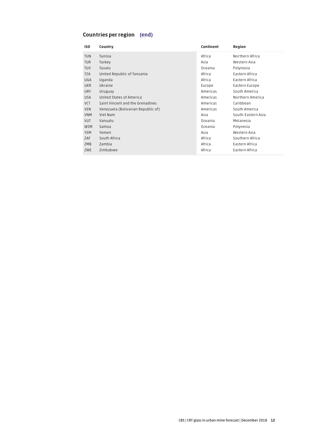#### Countries per region (end)

| ISO.       | Country                            | Continent | Region             |
|------------|------------------------------------|-----------|--------------------|
| <b>TUN</b> | Tunisia                            | Africa    | Northern Africa    |
| <b>TUR</b> | Turkey                             | Asia      | Western Asia       |
| <b>TUV</b> | Tuvalu                             | Oceania   | Polynesia          |
| <b>TZA</b> | United Republic of Tanzania        | Africa    | Eastern Africa     |
| UGA        | Uganda                             | Africa    | Eastern Africa     |
| <b>UKR</b> | Ukraine                            | Europe    | Eastern Europe     |
| <b>URY</b> | Uruguay                            | Americas  | South America      |
| <b>USA</b> | United States of America           | Americas  | Northern America   |
| VCT        | Saint Vincent and the Grenadines   | Americas  | Caribbean          |
| VEN        | Venezuela (Bolivarian Republic of) | Americas  | South America      |
| <b>VNM</b> | Viet Nam                           | Asia      | South-Eastern Asia |
| <b>VUT</b> | Vanuatu                            | Oceania   | Melanesia          |
| <b>WSM</b> | Samoa                              | Oceania   | Polynesia          |
| YEM        | Yemen                              | Asia      | Western Asia       |
| ZAF        | South Africa                       | Africa    | Southern Africa    |
| ZMB        | Zambia                             | Africa    | Eastern Africa     |
| ZWE        | Zimbabwe                           | Africa    | Eastern Africa     |
|            |                                    |           |                    |